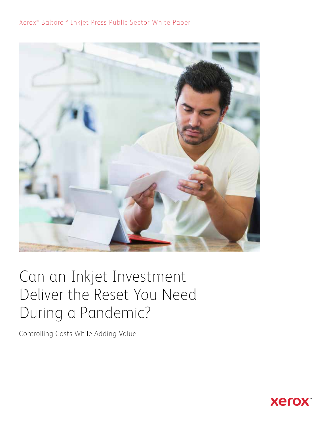### Xerox<sup>®</sup> Baltoro<sup>™</sup> Inkjet Press Public Sector White Paper



# Can an Inkjet Investment Deliver the Reset You Need During a Pandemic?

Controlling Costs While Adding Value.

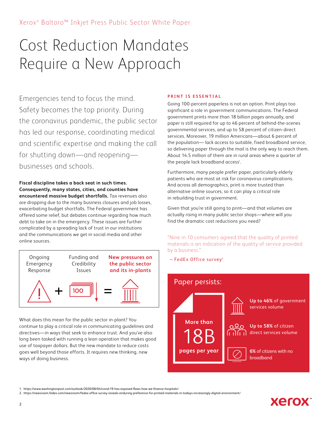# Cost Reduction Mandates Require a New Approach

Emergencies tend to focus the mind. Safety becomes the top priority. During the coronavirus pandemic, the public sector has led our response, coordinating medical and scientific expertise and making the call for shutting down—and reopening businesses and schools.

**Fiscal discipline takes a back seat in such times. Consequently, many states, cities, and counties have encountered massive budget shortfalls.** Tax revenues also are dropping due to the many business closures and job losses, exacerbating budget shortfalls. The Federal government has offered some relief, but debates continue regarding how much debt to take on in the emergency. These issues are further complicated by a spreading lack of trust in our institutions and the communications we get in social media and other online sources.



What does this mean for the public sector in-plant? You continue to play a critical role in communicating guidelines and directives—in ways that seek to enhance trust. And you've also long been tasked with running a lean operation that makes good use of taxpayer dollars. But the new mandate to reduce costs goes well beyond those efforts. It requires new thinking, new ways of doing business.

#### **PRINT IS ESSENTIAL**

Going 100-percent paperless is not an option. Print plays too significant a role in government communications. The Federal government prints more than 18 billion pages annually, and paper is still required for up to 46 percent of behind-the-scenes governmental services, and up to 58 percent of citizen-direct services. Moreover, 19 million Americans—about 6 percent of the population— lack access to suitable, fixed broadband service, so delivering paper through the mail is the only way to reach them. About 14.5 million of them are in rural areas where a quarter of the people lack broadband access<sup>1</sup>.

Furthermore, many people prefer paper, particularly elderly patients who are most at risk for coronavirus complications. And across all demographics, print is more trusted than alternative online sources, so it can play a critical role in rebuilding trust in government.

Given that you're still going to print—and that volumes are actually rising in many public sector shops—where will you find the dramatic cost reductions you need?

"Nine in 10 consumers agreed that the quality of printed materials is an indication of the quality of service provided by a business."

 $-$  FedEx Office survey<sup>2</sup>



1. https://www.washingtonpost.com/outlook/2020/08/04/covid-19-has-exposed-flaws-how-we-finance-hospitals/

<sup>2.</sup> https://newsroom.fedex.com/newsroom/fedex-office-survey-reveals-enduring-preference-for-printed-materials-in-todays-increasingly-digital-environment/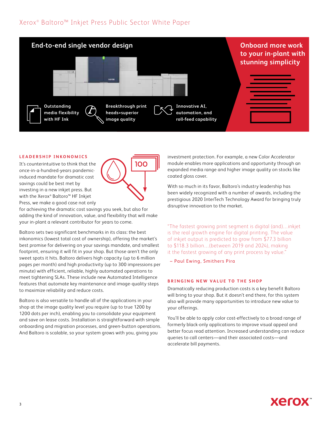### Xerox<sup>®</sup> Baltoro<sup>™</sup> Inkjet Press Public Sector White Paper



100

#### **LEADERSHIP INKONOMICS**

It's counterintuitive to think that the once-in-a-hundred-years pandemicinduced mandate for dramatic cost savings could be best met by investing in a new inkjet press. But with the Xerox® Baltoro™ HF Inkjet Press, we make a good case not only



Baltoro sets two significant benchmarks in its class: the best inkonomics (lowest total cost of ownership), offering the market's best promise for delivering on your savings mandate, and smallest footprint, ensuring it will fit in your shop. But those aren't the only sweet spots it hits. Baltoro delivers high capacity (up to 6 million pages per month) and high productivity (up to 300 impressions per minute) with efficient, reliable, highly automated operations to meet tightening SLAs. These include new Automated Intelligence features that automate key maintenance and image-quality steps to maximize reliability and reduce costs.

Baltoro is also versatile to handle all of the applications in your shop at the image quality level you require (up to true 1200 by 1200 dots per inch), enabling you to consolidate your equipment and save on lease costs. Installation is straightforward with simple onboarding and migration processes, and green-button operations. And Baltoro is scalable, so your system grows with you, giving you

investment protection. For example, a new Color Accelerator module enables more applications and opportunity through an expanded media range and higher image quality on stocks like coated gloss cover.

With so much in its favor, Baltoro's industry leadership has been widely recognized with a number of awards, including the prestigious 2020 InterTech Technology Award for bringing truly disruptive innovation to the market.

"The fastest growing print segment is digital (and)…inkjet is the real growth engine for digital printing. The value of inkjet output is predicted to grow from \$77.3 billion to \$118.3 billion…(between 2019 and 2024), making it the fastest growing of any print process by value."

– Paul Ewing, Smithers Pira

#### **BRINGING NEW VALUE TO THE SHOP**

Dramatically reducing production costs is a key benefit Baltoro will bring to your shop. But it doesn't end there, for this system also will provide many opportunities to introduce new value to your offerings.

You'll be able to apply color cost-effectively to a broad range of formerly black-only applications to improve visual appeal and better focus read attention. Increased understanding can reduce queries to call centers—and their associated costs—and accelerate bill payments.

## **Xerox**